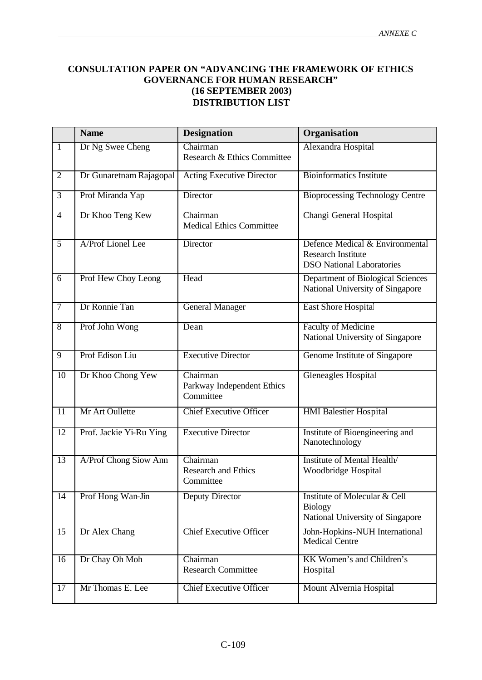## **CONSULTATION PAPER ON "ADVANCING THE FRAMEWORK OF ETHICS GOVERNANCE FOR HUMAN RESEARCH" (16 SEPTEMBER 2003) DISTRIBUTION LIST**

|                 | <b>Name</b>             | <b>Designation</b>                                  | Organisation                                                                                     |
|-----------------|-------------------------|-----------------------------------------------------|--------------------------------------------------------------------------------------------------|
| $\mathbf{1}$    | Dr Ng Swee Cheng        | Chairman<br>Research & Ethics Committee             | Alexandra Hospital                                                                               |
| $\overline{2}$  | Dr Gunaretnam Rajagopal | <b>Acting Executive Director</b>                    | <b>Bioinformatics Institute</b>                                                                  |
| $\overline{3}$  | Prof Miranda Yap        | Director                                            | <b>Bioprocessing Technology Centre</b>                                                           |
| $\overline{4}$  | Dr Khoo Teng Kew        | Chairman<br><b>Medical Ethics Committee</b>         | Changi General Hospital                                                                          |
| $\overline{5}$  | A/Prof Lionel Lee       | Director                                            | Defence Medical & Environmental<br><b>Research Institute</b><br><b>DSO National Laboratories</b> |
| $\overline{6}$  | Prof Hew Choy Leong     | Head                                                | Department of Biological Sciences<br>National University of Singapore                            |
| $\overline{7}$  | Dr Ronnie Tan           | <b>General Manager</b>                              | East Shore Hospital                                                                              |
| $\overline{8}$  | Prof John Wong          | Dean                                                | <b>Faculty of Medicine</b><br>National University of Singapore                                   |
| $\overline{9}$  | Prof Edison Liu         | <b>Executive Director</b>                           | Genome Institute of Singapore                                                                    |
| $\overline{10}$ | Dr Khoo Chong Yew       | Chairman<br>Parkway Independent Ethics<br>Committee | <b>Gleneagles Hospital</b>                                                                       |
| 11              | Mr Art Oullette         | <b>Chief Executive Officer</b>                      | <b>HMI</b> Balestier Hospital                                                                    |
| $\overline{12}$ | Prof. Jackie Yi-Ru Ying | <b>Executive Director</b>                           | Institute of Bioengineering and<br>Nanotechnology                                                |
| $\overline{13}$ | A/Prof Chong Siow Ann   | Chairman<br><b>Research and Ethics</b><br>Committee | Institute of Mental Health/<br>Woodbridge Hospital                                               |
| $\overline{14}$ | Prof Hong Wan-Jin       | <b>Deputy Director</b>                              | Institute of Molecular & Cell<br><b>Biology</b><br>National University of Singapore              |
| $\overline{15}$ | Dr Alex Chang           | <b>Chief Executive Officer</b>                      | John-Hopkins-NUH International<br>Medical Centre                                                 |
| 16              | Dr Chay Oh Moh          | Chairman<br><b>Research Committee</b>               | KK Women's and Children's<br>Hospital                                                            |
| $\overline{17}$ | Mr Thomas E. Lee        | <b>Chief Executive Officer</b>                      | Mount Alvernia Hospital                                                                          |